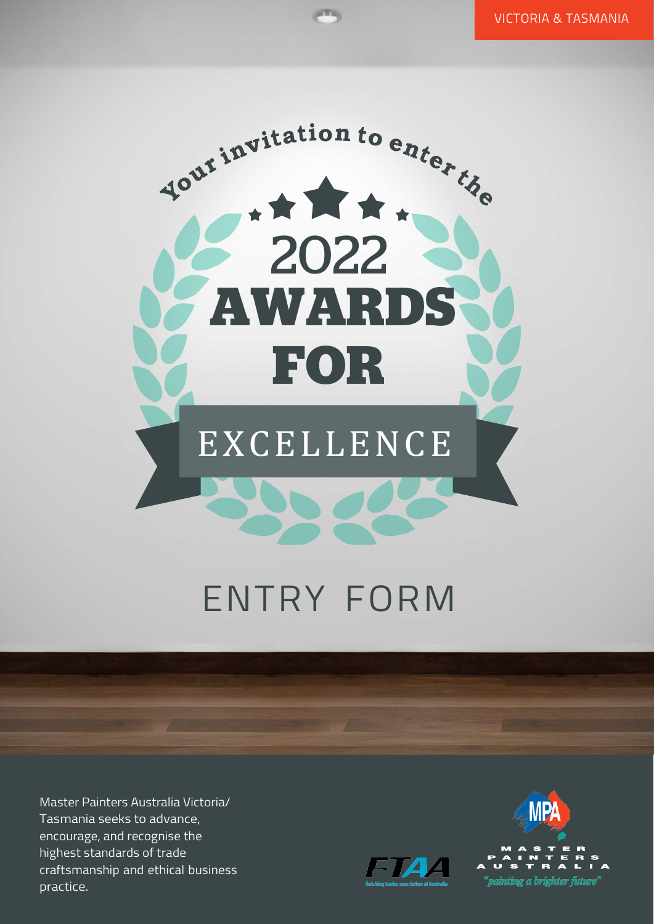

**PTS** 

## ENTRY FORM

Master Painters Australia Victoria/ Tasmania seeks to advance, encourage, and recognise the highest standards of trade craftsmanship and ethical business practice.



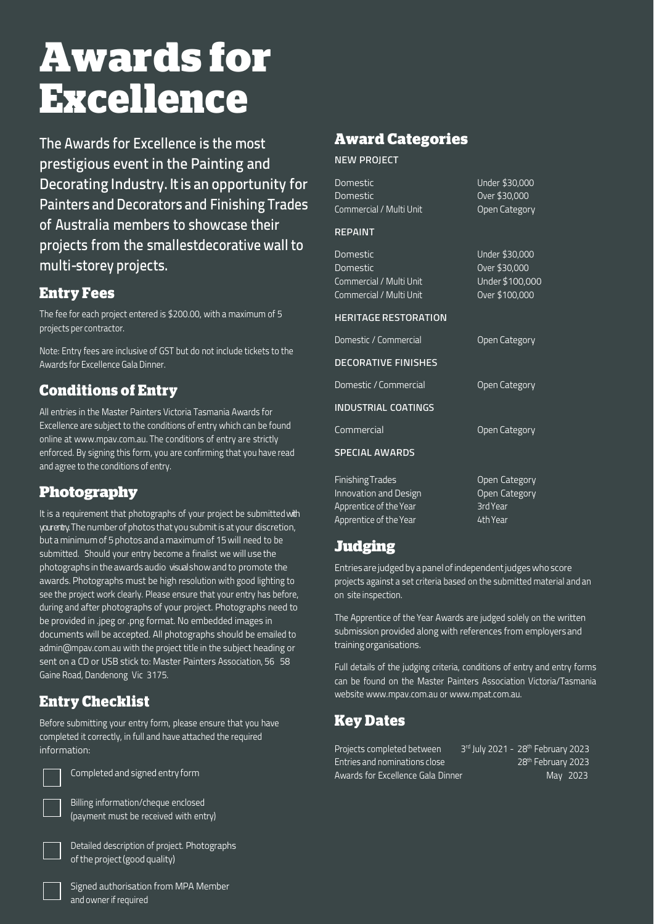# **Awards for Excellence**

The Awards for Excellence is the most prestigious event in the Painting and Decorating Industry. It is an opportunity for Painters and Decorators and Finishing Trades of Australia members to showcase their projects from the smallestdecorative wall to multi-storey projects.

#### **Entry Fees**

The fee for each project entered is \$200.00, with a maximum of 5 projects per contractor.

Note: Entry fees are inclusive of GST but do not include tickets to the Awards for Excellence GalaDinner.

#### **Conditions of Entry**

All entries in the Master Painters Victoria Tasmania Awards for Excellence are subject to the conditions of entry which can be found online at [www.mpav.com.au.](http://www.mpav.com.au/) The conditions of entry are strictly enforced. By signing this form, you are confirming that you have read and agree to the conditions of entry.

#### **Photography**

It is a requirement that photographs of your project be submitted with your entry. The number of photos that you submit is at your discretion, but a minimumof 5 photos and a maximumof 15will need to be submitted. Should your entry become a finalist we will use the photographs in the awards audio visual show and to promote the awards. Photographs must be high resolution with good lighting to see the project work clearly. Please ensure that your entry has before, during and after photographs of your project. Photographs need to be provided in .jpeg or .png format. No embedded images in documents will be accepted. All photographs should be emailed to [admin@mpav.com.au](mailto:admin@mpav.com.au) with the project title in the subject heading or sent on a CD or USB stick to: Master Painters Association, 56 58 Gaine Road, Dandenong Vic 3175.

## **Entry Checklist**

Before submitting your entry form, please ensure that you have completed it correctly, in full and have attached the required information:



Completed and signed entry form

Billing information/cheque enclosed (payment must be received with entry)



Detailed description of project. Photographs of the project (good quality)

Signed authorisation from MPA Member and owner if required

#### **Award Categories**

NEW PROJECT

| Domestic<br>Domestic<br>Commercial / Multi Unit                                                      | Under \$30,000<br>Over \$30,000<br>Open Category                     |
|------------------------------------------------------------------------------------------------------|----------------------------------------------------------------------|
| <b>REPAINT</b>                                                                                       |                                                                      |
| Domestic<br>Domestic<br>Commercial / Multi Unit<br>Commercial / Multi Unit                           | Under \$30,000<br>Over \$30,000<br>Under \$100,000<br>Over \$100,000 |
| <b>HERITAGE RESTORATION</b>                                                                          |                                                                      |
| Domestic / Commercial                                                                                | Open Category                                                        |
| <b>DECORATIVE FINISHES</b>                                                                           |                                                                      |
| Domestic / Commercial                                                                                | Open Category                                                        |
| <b>INDUSTRIAL COATINGS</b>                                                                           |                                                                      |
| Commercial                                                                                           | Open Category                                                        |
| <b>SPECIAL AWARDS</b>                                                                                |                                                                      |
| <b>Finishing Trades</b><br>Innovation and Design<br>Apprentice of the Year<br>Apprentice of the Year | Open Category<br>Open Category<br>3rd Year<br>4th Year               |

#### **Judging**

Entries are judged by a panel ofindependentjudgeswho score projects against a set criteria based on the submitted material and an on-site inspection.

The Apprentice of the Year Awards are judged solely on the written submission provided along with references from employersand trainingorganisations.

Full details of the judging criteria, conditions of entry and entry forms can be found on the Master Painters Association Victoria/Tasmania websit[e www.mpav.com.au](http://www.mpav.com.au/) o[r www.mpat.com.au.](http://www.mpat.com.au/)

## **Key Dates**

| Projects completed between        | 3rd July 2021 - 28 <sup>th</sup> February 2023 |
|-----------------------------------|------------------------------------------------|
| Entries and nominations close     | 28 <sup>th</sup> February 2023                 |
| Awards for Excellence Gala Dinner | May 2023                                       |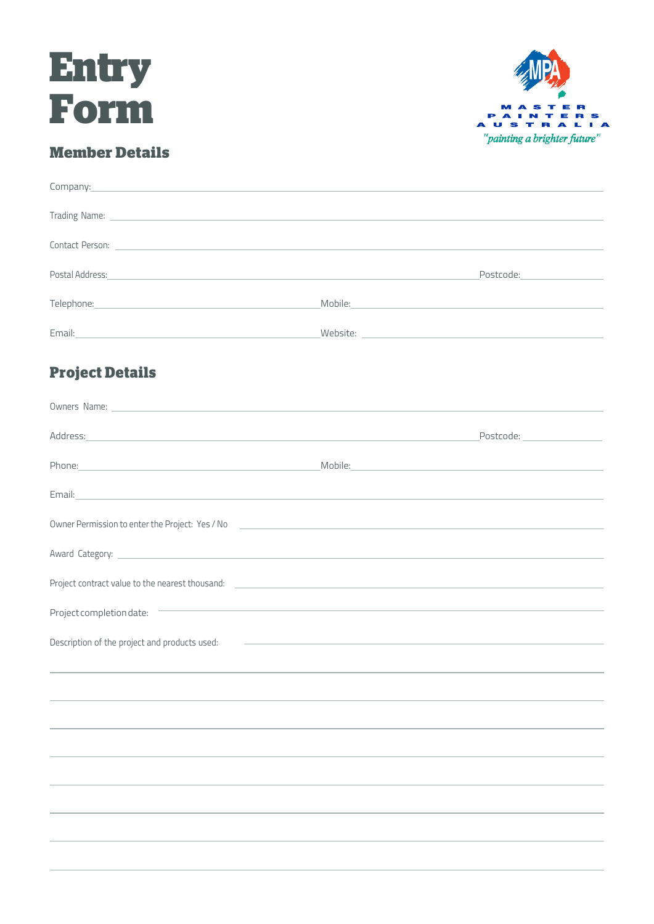



### **Member Details**

| Company:<br>the contract of the contract of the contract of the contract of the contract of the contract of                                                                                                                         |                                                                                                                                                                                                                                |                                |
|-------------------------------------------------------------------------------------------------------------------------------------------------------------------------------------------------------------------------------------|--------------------------------------------------------------------------------------------------------------------------------------------------------------------------------------------------------------------------------|--------------------------------|
| Trading Name: <u>experience</u> and the contract of the contract of the contract of the contract of the contract of the contract of the contract of the contract of the contract of the contract of the contract of the contract of |                                                                                                                                                                                                                                |                                |
|                                                                                                                                                                                                                                     |                                                                                                                                                                                                                                |                                |
| Postal Address: et al. 2012 and 2013 and 2013 and 2013 and 2013 and 2013 and 2013 and 2013 and 2013 and 2013 and 2013 and 2013 and 2013 and 2013 and 2013 and 2013 and 2013 and 2013 and 2013 and 2013 and 2013 and 2013 and 2      |                                                                                                                                                                                                                                | Postcode:_____________________ |
|                                                                                                                                                                                                                                     | Mobile: Now we have a state of the state of the state of the state of the state of the state of the state of the state of the state of the state of the state of the state of the state of the state of the state of the state |                                |
| Email: Note and the Communication of the Communication of the Communication of the Communication of the Communication of the Communication of the Communication of the Communication of the Communication of the Communication      |                                                                                                                                                                                                                                |                                |
| <b>Project Details</b>                                                                                                                                                                                                              |                                                                                                                                                                                                                                |                                |
| Owners Name: 1988 Committee Committee Committee Committee Committee Committee Committee Committee Committee Committee Committee Committee Committee Committee Committee Committee Committee Committee Committee Committee Comm      |                                                                                                                                                                                                                                |                                |
| Address: and the contract of the contract of the contract of the contract of the contract of the contract of the contract of the contract of the contract of the contract of the contract of the contract of the contract of t      |                                                                                                                                                                                                                                | Postcode: ___________________  |
| Phone: Nobile: Nobile: Nobile: Nobile: Nobile: Nobile: Nobile: Nobile: Nobile: Nobile: Nobile: Nobile: Nobile: Nobile: Nobile: Nobile: Nobile: Nobile: Nobile: Nobile: Nobile: Nobile: Nobile: Nobile: Nobile: Nobile: Nobile:      |                                                                                                                                                                                                                                |                                |
| Email: <u>Alexander Adam and Alexander Adam and Alexander Adam and Alexander Adam and Alexander Adam and Alexander</u>                                                                                                              |                                                                                                                                                                                                                                |                                |
|                                                                                                                                                                                                                                     |                                                                                                                                                                                                                                |                                |
|                                                                                                                                                                                                                                     |                                                                                                                                                                                                                                |                                |
| Project contract value to the nearest thousand: _________________________________                                                                                                                                                   |                                                                                                                                                                                                                                |                                |
| Project completion date:                                                                                                                                                                                                            | and the control of the control of the control of the control of the control of the control of the control of the                                                                                                               |                                |
| Description of the project and products used:                                                                                                                                                                                       | <u> 1980 - Andrea Barbara, poeta esperanto-poeta esperanto-poeta esperanto-poeta esperanto-poeta esperanto-poeta</u>                                                                                                           |                                |
|                                                                                                                                                                                                                                     |                                                                                                                                                                                                                                |                                |
|                                                                                                                                                                                                                                     |                                                                                                                                                                                                                                |                                |
|                                                                                                                                                                                                                                     |                                                                                                                                                                                                                                |                                |
|                                                                                                                                                                                                                                     |                                                                                                                                                                                                                                |                                |
|                                                                                                                                                                                                                                     |                                                                                                                                                                                                                                |                                |
|                                                                                                                                                                                                                                     |                                                                                                                                                                                                                                |                                |
|                                                                                                                                                                                                                                     |                                                                                                                                                                                                                                |                                |
|                                                                                                                                                                                                                                     |                                                                                                                                                                                                                                |                                |